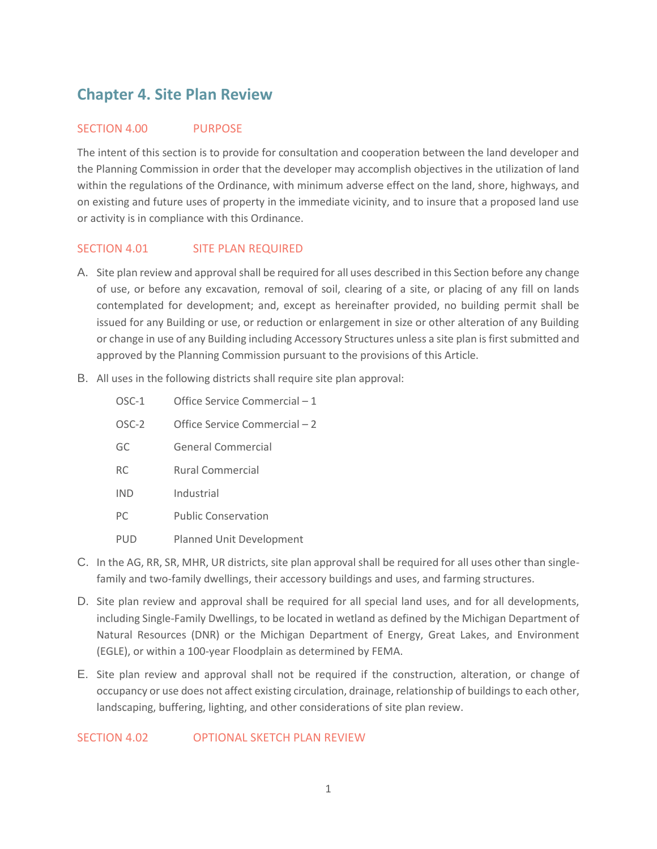# **Chapter 4. Site Plan Review**

# SECTION 4.00 PURPOSE

The intent of this section is to provide for consultation and cooperation between the land developer and the Planning Commission in order that the developer may accomplish objectives in the utilization of land within the regulations of the Ordinance, with minimum adverse effect on the land, shore, highways, and on existing and future uses of property in the immediate vicinity, and to insure that a proposed land use or activity is in compliance with this Ordinance.

# SECTION 4.01 SITE PLAN REQUIRED

- A. Site plan review and approval shall be required for all uses described in this Section before any change of use, or before any excavation, removal of soil, clearing of a site, or placing of any fill on lands contemplated for development; and, except as hereinafter provided, no building permit shall be issued for any Building or use, or reduction or enlargement in size or other alteration of any Building or change in use of any Building including Accessory Structures unless a site plan is first submitted and approved by the Planning Commission pursuant to the provisions of this Article.
- B. All uses in the following districts shall require site plan approval:
	- OSC-1 Office Service Commercial 1
	- OSC-2 Office Service Commercial 2
	- GC General Commercial
	- RC Rural Commercial
	- IND Industrial
	- PC Public Conservation
	- PUD Planned Unit Development
- C. In the AG, RR, SR, MHR, UR districts, site plan approval shall be required for all uses other than singlefamily and two-family dwellings, their accessory buildings and uses, and farming structures.
- D. Site plan review and approval shall be required for all special land uses, and for all developments, including Single-Family Dwellings, to be located in wetland as defined by the Michigan Department of Natural Resources (DNR) or the Michigan Department of Energy, Great Lakes, and Environment (EGLE), or within a 100-year Floodplain as determined by FEMA.
- E. Site plan review and approval shall not be required if the construction, alteration, or change of occupancy or use does not affect existing circulation, drainage, relationship of buildings to each other, landscaping, buffering, lighting, and other considerations of site plan review.

SECTION 4.02 OPTIONAL SKETCH PLAN REVIEW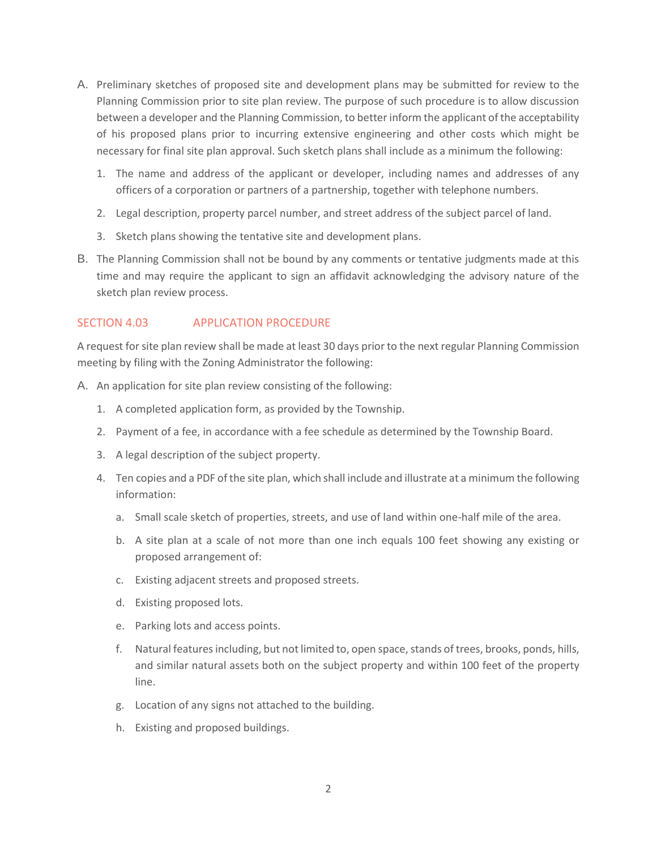- A. Preliminary sketches of proposed site and development plans may be submitted for review to the Planning Commission prior to site plan review. The purpose of such procedure is to allow discussion between a developer and the Planning Commission, to better inform the applicant of the acceptability of his proposed plans prior to incurring extensive engineering and other costs which might be necessary for final site plan approval. Such sketch plans shall include as a minimum the following:
	- 1. The name and address of the applicant or developer, including names and addresses of any officers of a corporation or partners of a partnership, together with telephone numbers.
	- 2. Legal description, property parcel number, and street address of the subject parcel of land.
	- 3. Sketch plans showing the tentative site and development plans.
- B. The Planning Commission shall not be bound by any comments or tentative judgments made at this time and may require the applicant to sign an affidavit acknowledging the advisory nature of the sketch plan review process.

# SECTION 4.03 APPLICATION PROCEDURE

A request for site plan review shall be made at least 30 days prior to the next regular Planning Commission meeting by filing with the Zoning Administrator the following:

- A. An application for site plan review consisting of the following:
	- 1. A completed application form, as provided by the Township.
	- 2. Payment of a fee, in accordance with a fee schedule as determined by the Township Board.
	- 3. A legal description of the subject property.
	- 4. Ten copies and a PDF of the site plan, which shall include and illustrate at a minimum the following information:
		- a. Small scale sketch of properties, streets, and use of land within one-half mile of the area.
		- b. A site plan at a scale of not more than one inch equals 100 feet showing any existing or proposed arrangement of:
		- c. Existing adjacent streets and proposed streets.
		- d. Existing proposed lots.
		- e. Parking lots and access points.
		- f. Natural features including, but not limited to, open space, stands of trees, brooks, ponds, hills, and similar natural assets both on the subject property and within 100 feet of the property line.
		- g. Location of any signs not attached to the building.
		- h. Existing and proposed buildings.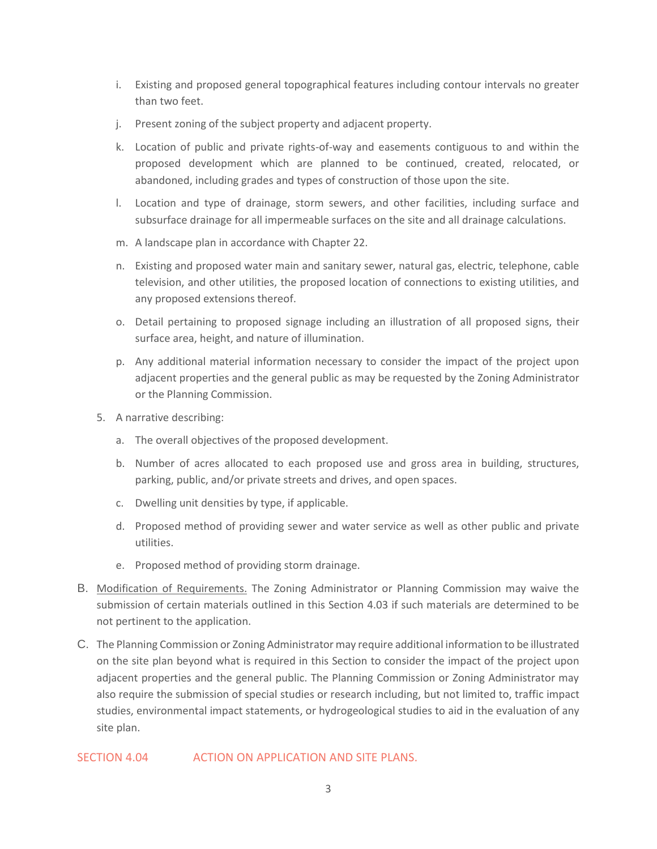- i. Existing and proposed general topographical features including contour intervals no greater than two feet.
- j. Present zoning of the subject property and adjacent property.
- k. Location of public and private rights-of-way and easements contiguous to and within the proposed development which are planned to be continued, created, relocated, or abandoned, including grades and types of construction of those upon the site.
- l. Location and type of drainage, storm sewers, and other facilities, including surface and subsurface drainage for all impermeable surfaces on the site and all drainage calculations.
- m. A landscape plan in accordance with Chapter 22.
- n. Existing and proposed water main and sanitary sewer, natural gas, electric, telephone, cable television, and other utilities, the proposed location of connections to existing utilities, and any proposed extensions thereof.
- o. Detail pertaining to proposed signage including an illustration of all proposed signs, their surface area, height, and nature of illumination.
- p. Any additional material information necessary to consider the impact of the project upon adjacent properties and the general public as may be requested by the Zoning Administrator or the Planning Commission.
- 5. A narrative describing:
	- a. The overall objectives of the proposed development.
	- b. Number of acres allocated to each proposed use and gross area in building, structures, parking, public, and/or private streets and drives, and open spaces.
	- c. Dwelling unit densities by type, if applicable.
	- d. Proposed method of providing sewer and water service as well as other public and private utilities.
	- e. Proposed method of providing storm drainage.
- B. Modification of Requirements. The Zoning Administrator or Planning Commission may waive the submission of certain materials outlined in this Section 4.03 if such materials are determined to be not pertinent to the application.
- C. The Planning Commission or Zoning Administrator may require additional information to be illustrated on the site plan beyond what is required in this Section to consider the impact of the project upon adjacent properties and the general public. The Planning Commission or Zoning Administrator may also require the submission of special studies or research including, but not limited to, traffic impact studies, environmental impact statements, or hydrogeological studies to aid in the evaluation of any site plan.

SECTION 4.04 ACTION ON APPLICATION AND SITE PLANS.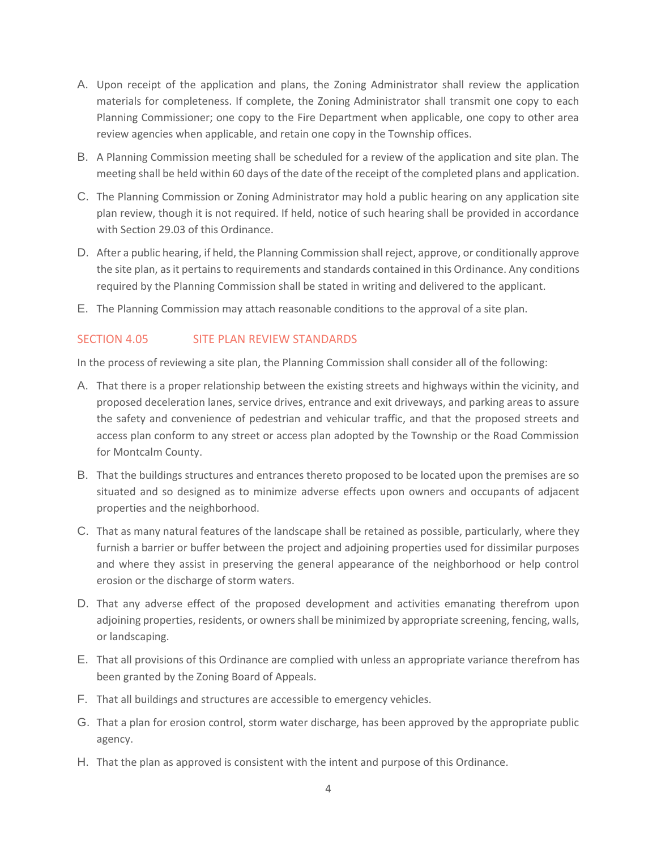- A. Upon receipt of the application and plans, the Zoning Administrator shall review the application materials for completeness. If complete, the Zoning Administrator shall transmit one copy to each Planning Commissioner; one copy to the Fire Department when applicable, one copy to other area review agencies when applicable, and retain one copy in the Township offices.
- B. A Planning Commission meeting shall be scheduled for a review of the application and site plan. The meeting shall be held within 60 days of the date of the receipt of the completed plans and application.
- C. The Planning Commission or Zoning Administrator may hold a public hearing on any application site plan review, though it is not required. If held, notice of such hearing shall be provided in accordance with Section 29.03 of this Ordinance.
- D. After a public hearing, if held, the Planning Commission shall reject, approve, or conditionally approve the site plan, as it pertains to requirements and standards contained in this Ordinance. Any conditions required by the Planning Commission shall be stated in writing and delivered to the applicant.
- E. The Planning Commission may attach reasonable conditions to the approval of a site plan.

# SECTION 4.05 SITE PLAN REVIEW STANDARDS

In the process of reviewing a site plan, the Planning Commission shall consider all of the following:

- A. That there is a proper relationship between the existing streets and highways within the vicinity, and proposed deceleration lanes, service drives, entrance and exit driveways, and parking areas to assure the safety and convenience of pedestrian and vehicular traffic, and that the proposed streets and access plan conform to any street or access plan adopted by the Township or the Road Commission for Montcalm County.
- B. That the buildings structures and entrances thereto proposed to be located upon the premises are so situated and so designed as to minimize adverse effects upon owners and occupants of adjacent properties and the neighborhood.
- C. That as many natural features of the landscape shall be retained as possible, particularly, where they furnish a barrier or buffer between the project and adjoining properties used for dissimilar purposes and where they assist in preserving the general appearance of the neighborhood or help control erosion or the discharge of storm waters.
- D. That any adverse effect of the proposed development and activities emanating therefrom upon adjoining properties, residents, or owners shall be minimized by appropriate screening, fencing, walls, or landscaping.
- E. That all provisions of this Ordinance are complied with unless an appropriate variance therefrom has been granted by the Zoning Board of Appeals.
- F. That all buildings and structures are accessible to emergency vehicles.
- G. That a plan for erosion control, storm water discharge, has been approved by the appropriate public agency.
- H. That the plan as approved is consistent with the intent and purpose of this Ordinance.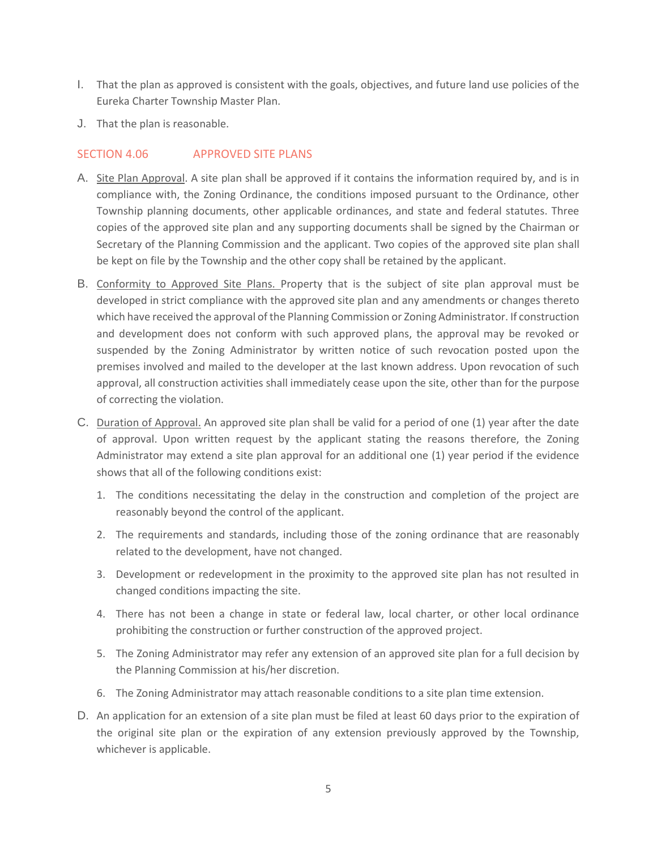- I. That the plan as approved is consistent with the goals, objectives, and future land use policies of the Eureka Charter Township Master Plan.
- J. That the plan is reasonable.

## SECTION 4.06 APPROVED SITE PLANS

- A. Site Plan Approval. A site plan shall be approved if it contains the information required by, and is in compliance with, the Zoning Ordinance, the conditions imposed pursuant to the Ordinance, other Township planning documents, other applicable ordinances, and state and federal statutes. Three copies of the approved site plan and any supporting documents shall be signed by the Chairman or Secretary of the Planning Commission and the applicant. Two copies of the approved site plan shall be kept on file by the Township and the other copy shall be retained by the applicant.
- B. Conformity to Approved Site Plans. Property that is the subject of site plan approval must be developed in strict compliance with the approved site plan and any amendments or changes thereto which have received the approval of the Planning Commission or Zoning Administrator. If construction and development does not conform with such approved plans, the approval may be revoked or suspended by the Zoning Administrator by written notice of such revocation posted upon the premises involved and mailed to the developer at the last known address. Upon revocation of such approval, all construction activities shall immediately cease upon the site, other than for the purpose of correcting the violation.
- C. Duration of Approval. An approved site plan shall be valid for a period of one (1) year after the date of approval. Upon written request by the applicant stating the reasons therefore, the Zoning Administrator may extend a site plan approval for an additional one (1) year period if the evidence shows that all of the following conditions exist:
	- 1. The conditions necessitating the delay in the construction and completion of the project are reasonably beyond the control of the applicant.
	- 2. The requirements and standards, including those of the zoning ordinance that are reasonably related to the development, have not changed.
	- 3. Development or redevelopment in the proximity to the approved site plan has not resulted in changed conditions impacting the site.
	- 4. There has not been a change in state or federal law, local charter, or other local ordinance prohibiting the construction or further construction of the approved project.
	- 5. The Zoning Administrator may refer any extension of an approved site plan for a full decision by the Planning Commission at his/her discretion.
	- 6. The Zoning Administrator may attach reasonable conditions to a site plan time extension.
- D. An application for an extension of a site plan must be filed at least 60 days prior to the expiration of the original site plan or the expiration of any extension previously approved by the Township, whichever is applicable.